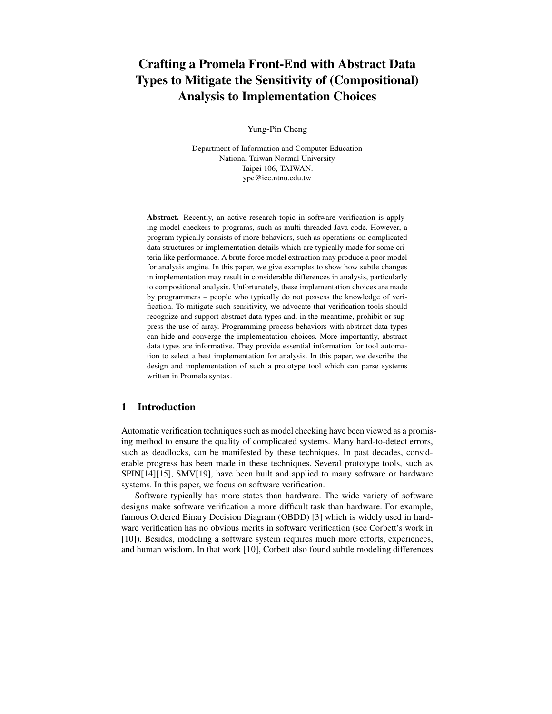# **Crafting a Promela Front-End with Abstract Data Types to Mitigate the Sensitivity of (Compositional) Analysis to Implementation Choices**

Yung-Pin Cheng

Department of Information and Computer Education National Taiwan Normal University Taipei 106, TAIWAN. ypc@ice.ntnu.edu.tw

**Abstract.** Recently, an active research topic in software verification is applying model checkers to programs, such as multi-threaded Java code. However, a program typically consists of more behaviors, such as operations on complicated data structures or implementation details which are typically made for some criteria like performance. A brute-force model extraction may produce a poor model for analysis engine. In this paper, we give examples to show how subtle changes in implementation may result in considerable differences in analysis, particularly to compositional analysis. Unfortunately, these implementation choices are made by programmers – people who typically do not possess the knowledge of verification. To mitigate such sensitivity, we advocate that verification tools should recognize and support abstract data types and, in the meantime, prohibit or suppress the use of array. Programming process behaviors with abstract data types can hide and converge the implementation choices. More importantly, abstract data types are informative. They provide essential information for tool automation to select a best implementation for analysis. In this paper, we describe the design and implementation of such a prototype tool which can parse systems written in Promela syntax.

## **1 Introduction**

Automatic verification techniques such as model checking have been viewed as a promising method to ensure the quality of complicated systems. Many hard-to-detect errors, such as deadlocks, can be manifested by these techniques. In past decades, considerable progress has been made in these techniques. Several prototype tools, such as SPIN[14][15], SMV[19], have been built and applied to many software or hardware systems. In this paper, we focus on software verification.

Software typically has more states than hardware. The wide variety of software designs make software verification a more difficult task than hardware. For example, famous Ordered Binary Decision Diagram (OBDD) [3] which is widely used in hardware verification has no obvious merits in software verification (see Corbett's work in [10]). Besides, modeling a software system requires much more efforts, experiences, and human wisdom. In that work [10], Corbett also found subtle modeling differences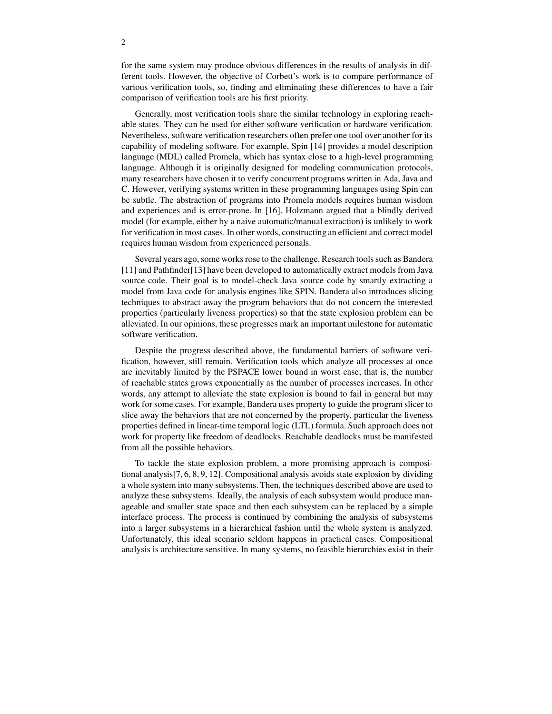for the same system may produce obvious differences in the results of analysis in different tools. However, the objective of Corbett's work is to compare performance of various verification tools, so, finding and eliminating these differences to have a fair comparison of verification tools are his first priority.

Generally, most verification tools share the similar technology in exploring reachable states. They can be used for either software verification or hardware verification. Nevertheless, software verification researchers often prefer one tool over another for its capability of modeling software. For example, Spin [14] provides a model description language (MDL) called Promela, which has syntax close to a high-level programming language. Although it is originally designed for modeling communication protocols, many researchers have chosen it to verify concurrent programs written in Ada, Java and C. However, verifying systems written in these programming languages using Spin can be subtle. The abstraction of programs into Promela models requires human wisdom and experiences and is error-prone. In [16], Holzmann argued that a blindly derived model (for example, either by a naive automatic/manual extraction) is unlikely to work for verification in most cases. In other words, constructing an efficient and correct model requires human wisdom from experienced personals.

Several years ago, some works rose to the challenge. Research tools such as Bandera [11] and Pathfinder[13] have been developed to automatically extract models from Java source code. Their goal is to model-check Java source code by smartly extracting a model from Java code for analysis engines like SPIN. Bandera also introduces slicing techniques to abstract away the program behaviors that do not concern the interested properties (particularly liveness properties) so that the state explosion problem can be alleviated. In our opinions, these progresses mark an important milestone for automatic software verification.

Despite the progress described above, the fundamental barriers of software verification, however, still remain. Verification tools which analyze all processes at once are inevitably limited by the PSPACE lower bound in worst case; that is, the number of reachable states grows exponentially as the number of processes increases. In other words, any attempt to alleviate the state explosion is bound to fail in general but may work for some cases. For example, Bandera uses property to guide the program slicer to slice away the behaviors that are not concerned by the property, particular the liveness properties defined in linear-time temporal logic (LTL) formula. Such approach does not work for property like freedom of deadlocks. Reachable deadlocks must be manifested from all the possible behaviors.

To tackle the state explosion problem, a more promising approach is compositional analysis[7, 6, 8, 9, 12]. Compositional analysis avoids state explosion by dividing a whole system into many subsystems. Then, the techniques described above are used to analyze these subsystems. Ideally, the analysis of each subsystem would produce manageable and smaller state space and then each subsystem can be replaced by a simple interface process. The process is continued by combining the analysis of subsystems into a larger subsystems in a hierarchical fashion until the whole system is analyzed. Unfortunately, this ideal scenario seldom happens in practical cases. Compositional analysis is architecture sensitive. In many systems, no feasible hierarchies exist in their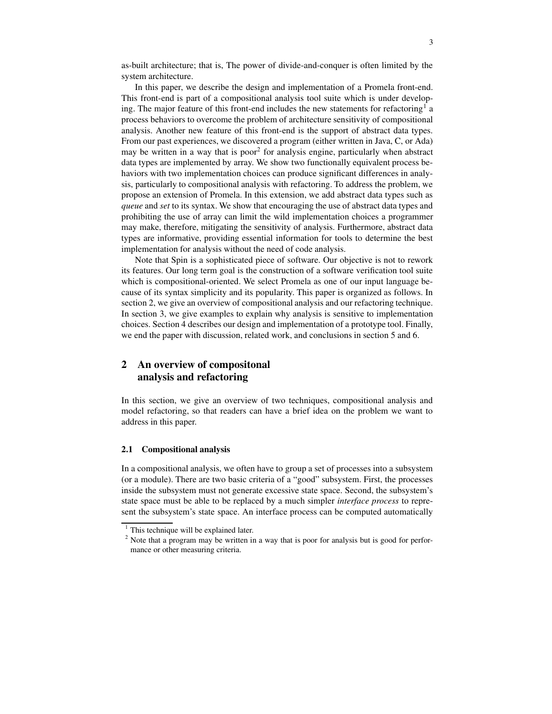as-built architecture; that is, The power of divide-and-conquer is often limited by the system architecture.

In this paper, we describe the design and implementation of a Promela front-end. This front-end is part of a compositional analysis tool suite which is under developing. The major feature of this front-end includes the new statements for refactoring<sup>1</sup> a process behaviors to overcome the problem of architecture sensitivity of compositional analysis. Another new feature of this front-end is the support of abstract data types. From our past experiences, we discovered a program (either written in Java, C, or Ada) may be written in a way that is poor<sup>2</sup> for analysis engine, particularly when abstract data types are implemented by array. We show two functionally equivalent process behaviors with two implementation choices can produce significant differences in analysis, particularly to compositional analysis with refactoring. To address the problem, we propose an extension of Promela. In this extension, we add abstract data types such as *queue* and *set* to its syntax. We show that encouraging the use of abstract data types and prohibiting the use of array can limit the wild implementation choices a programmer may make, therefore, mitigating the sensitivity of analysis. Furthermore, abstract data types are informative, providing essential information for tools to determine the best implementation for analysis without the need of code analysis.

Note that Spin is a sophisticated piece of software. Our objective is not to rework its features. Our long term goal is the construction of a software verification tool suite which is compositional-oriented. We select Promela as one of our input language because of its syntax simplicity and its popularity. This paper is organized as follows. In section 2, we give an overview of compositional analysis and our refactoring technique. In section 3, we give examples to explain why analysis is sensitive to implementation choices. Section 4 describes our design and implementation of a prototype tool. Finally, we end the paper with discussion, related work, and conclusions in section 5 and 6.

# **2 An overview of compositonal analysis and refactoring**

In this section, we give an overview of two techniques, compositional analysis and model refactoring, so that readers can have a brief idea on the problem we want to address in this paper.

#### **2.1 Compositional analysis**

In a compositional analysis, we often have to group a set of processes into a subsystem (or a module). There are two basic criteria of a "good" subsystem. First, the processes inside the subsystem must not generate excessive state space. Second, the subsystem's state space must be able to be replaced by a much simpler *interface process* to represent the subsystem's state space. An interface process can be computed automatically

 $1$  This technique will be explained later.

<sup>&</sup>lt;sup>2</sup> Note that a program may be written in a way that is poor for analysis but is good for performance or other measuring criteria.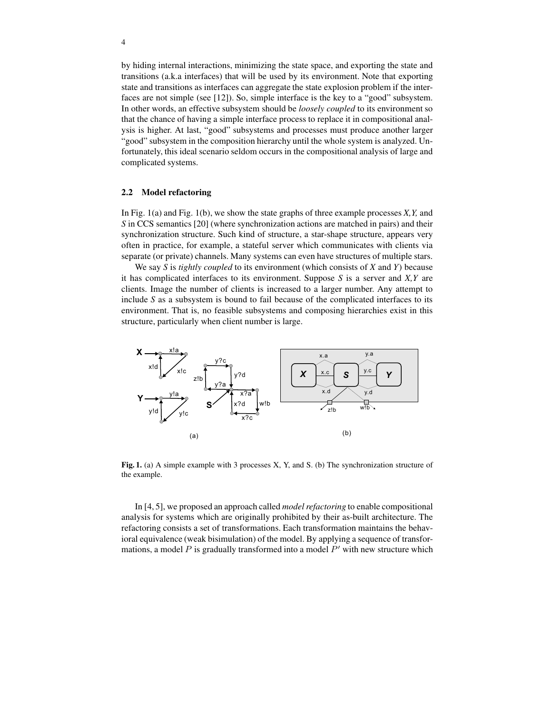by hiding internal interactions, minimizing the state space, and exporting the state and transitions (a.k.a interfaces) that will be used by its environment. Note that exporting state and transitions as interfaces can aggregate the state explosion problem if the interfaces are not simple (see [12]). So, simple interface is the key to a "good" subsystem. In other words, an effective subsystem should be *loosely coupled* to its environment so that the chance of having a simple interface process to replace it in compositional analysis is higher. At last, "good" subsystems and processes must produce another larger "good" subsystem in the composition hierarchy until the whole system is analyzed. Unfortunately, this ideal scenario seldom occurs in the compositional analysis of large and complicated systems.

#### **2.2 Model refactoring**

In Fig. 1(a) and Fig. 1(b), we show the state graphs of three example processes *X,Y,* and *S* in CCS semantics [20] (where synchronization actions are matched in pairs) and their synchronization structure. Such kind of structure, a star-shape structure, appears very often in practice, for example, a stateful server which communicates with clients via separate (or private) channels. Many systems can even have structures of multiple stars.

We say *S* is *tightly coupled* to its environment (which consists of *X* and *Y*) because it has complicated interfaces to its environment. Suppose *S* is a server and *X,Y* are clients. Image the number of clients is increased to a larger number. Any attempt to include *S* as a subsystem is bound to fail because of the complicated interfaces to its environment. That is, no feasible subsystems and composing hierarchies exist in this structure, particularly when client number is large.



**Fig. 1.** (a) A simple example with 3 processes X, Y, and S. (b) The synchronization structure of the example.

In [4, 5], we proposed an approach called *model refactoring* to enable compositional analysis for systems which are originally prohibited by their as-built architecture. The refactoring consists a set of transformations. Each transformation maintains the behavioral equivalence (weak bisimulation) of the model. By applying a sequence of transformations, a model P is gradually transformed into a model  $P'$  with new structure which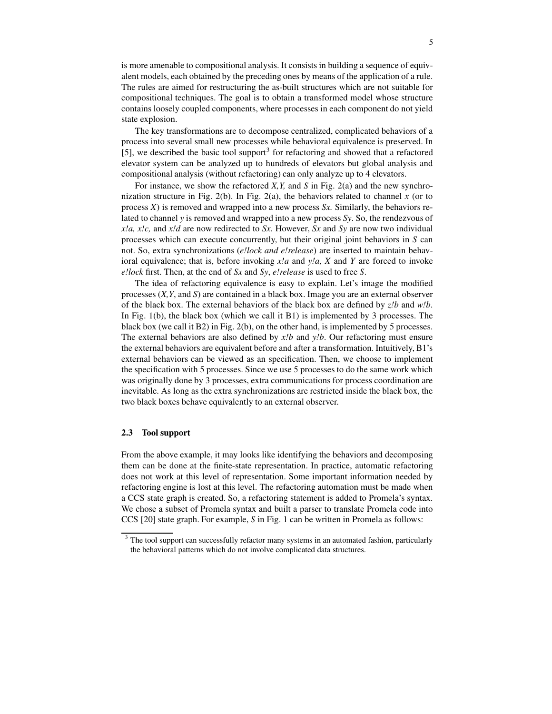is more amenable to compositional analysis. It consists in building a sequence of equivalent models, each obtained by the preceding ones by means of the application of a rule. The rules are aimed for restructuring the as-built structures which are not suitable for compositional techniques. The goal is to obtain a transformed model whose structure contains loosely coupled components, where processes in each component do not yield state explosion.

The key transformations are to decompose centralized, complicated behaviors of a process into several small new processes while behavioral equivalence is preserved. In [5], we described the basic tool support<sup>3</sup> for refactoring and showed that a refactored elevator system can be analyzed up to hundreds of elevators but global analysis and compositional analysis (without refactoring) can only analyze up to 4 elevators.

For instance, we show the refactored *X,Y,* and *S* in Fig. 2(a) and the new synchronization structure in Fig. 2(b). In Fig. 2(a), the behaviors related to channel  $x$  (or to process *X*) is removed and wrapped into a new process *Sx.* Similarly, the behaviors related to channel *y* is removed and wrapped into a new process *Sy*. So, the rendezvous of *x!a, x!c,* and *x!d* are now redirected to *Sx*. However, *Sx* and *Sy* are now two individual processes which can execute concurrently, but their original joint behaviors in *S* can not. So, extra synchronizations (*e!lock and e!release*) are inserted to maintain behavioral equivalence; that is, before invoking *x!a* and *y!a, X* and *Y* are forced to invoke *e!lock* first. Then, at the end of *Sx* and *Sy*, *e!release* is used to free *S*.

The idea of refactoring equivalence is easy to explain. Let's image the modified processes (*X,Y*, and *S*) are contained in a black box. Image you are an external observer of the black box. The external behaviors of the black box are defined by *z!b* and *w!b*. In Fig.  $1(b)$ , the black box (which we call it B1) is implemented by 3 processes. The black box (we call it B2) in Fig. 2(b), on the other hand, is implemented by 5 processes. The external behaviors are also defined by *x!b* and *y!b*. Our refactoring must ensure the external behaviors are equivalent before and after a transformation. Intuitively, B1's external behaviors can be viewed as an specification. Then, we choose to implement the specification with 5 processes. Since we use 5 processes to do the same work which was originally done by 3 processes, extra communications for process coordination are inevitable. As long as the extra synchronizations are restricted inside the black box, the two black boxes behave equivalently to an external observer.

#### **2.3 Tool support**

From the above example, it may looks like identifying the behaviors and decomposing them can be done at the finite-state representation. In practice, automatic refactoring does not work at this level of representation. Some important information needed by refactoring engine is lost at this level. The refactoring automation must be made when a CCS state graph is created. So, a refactoring statement is added to Promela's syntax. We chose a subset of Promela syntax and built a parser to translate Promela code into CCS [20] state graph. For example, *S* in Fig. 1 can be written in Promela as follows:

<sup>&</sup>lt;sup>3</sup> The tool support can successfully refactor many systems in an automated fashion, particularly the behavioral patterns which do not involve complicated data structures.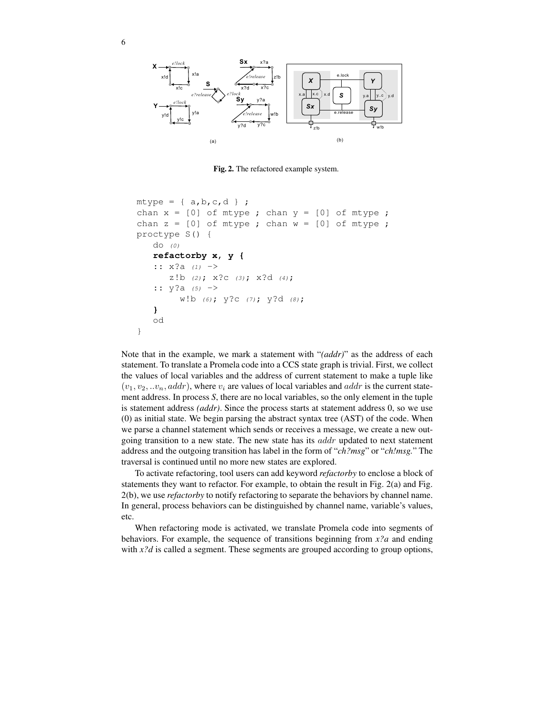

**Fig. 2.** The refactored example system.

```
mtype = { a,b,c,d };
chan x = [0] of mtype ; chan y = [0] of mtype ;
chan z = [0] of mtype; chan w = [0] of mtype;
proctype S() {
   do (0)refactorby x, y {
   :: x?a (1) \rightarrowz!b (2); x?c (3); x?d (4);
   :: y?a (5) \rightarroww!b (6); y?c (7); y?d (8);
   }
   od
}
```
Note that in the example, we mark a statement with "*(addr)*" as the address of each statement. To translate a Promela code into a CCS state graph is trivial. First, we collect the values of local variables and the address of current statement to make a tuple like  $(v_1, v_2, ... v_n, addr)$ , where  $v_i$  are values of local variables and *addr* is the current statement address. In process *S*, there are no local variables, so the only element in the tuple is statement address *(addr)*. Since the process starts at statement address 0, so we use (0) as initial state. We begin parsing the abstract syntax tree (AST) of the code. When we parse a channel statement which sends or receives a message, we create a new outgoing transition to a new state. The new state has its  $addr$  updated to next statement address and the outgoing transition has label in the form of "*ch?msg*" or "*ch!msg.*" The traversal is continued until no more new states are explored.

To activate refactoring, tool users can add keyword *refactorby* to enclose a block of statements they want to refactor. For example, to obtain the result in Fig. 2(a) and Fig. 2(b), we use *refactorby* to notify refactoring to separate the behaviors by channel name. In general, process behaviors can be distinguished by channel name, variable's values, etc.

When refactoring mode is activated, we translate Promela code into segments of behaviors. For example, the sequence of transitions beginning from *x?a* and ending with *x?d* is called a segment. These segments are grouped according to group options,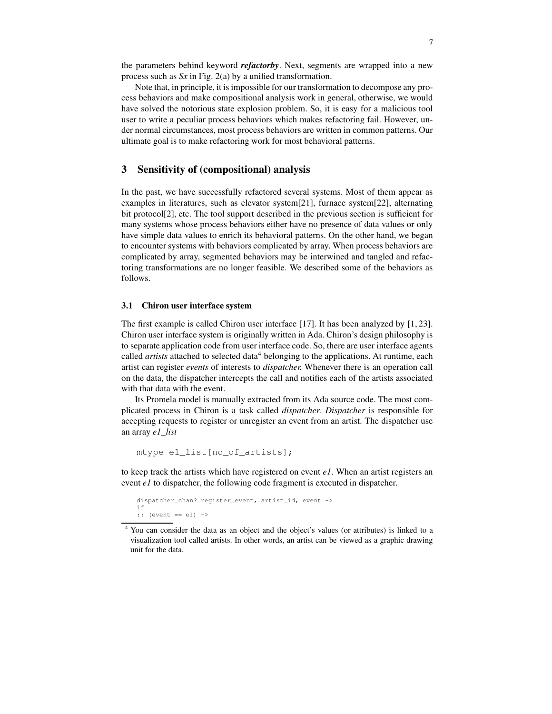the parameters behind keyword *refactorby*. Next, segments are wrapped into a new process such as *Sx* in Fig. 2(a) by a unified transformation.

Note that, in principle, it is impossible for our transformation to decompose any process behaviors and make compositional analysis work in general, otherwise, we would have solved the notorious state explosion problem. So, it is easy for a malicious tool user to write a peculiar process behaviors which makes refactoring fail. However, under normal circumstances, most process behaviors are written in common patterns. Our ultimate goal is to make refactoring work for most behavioral patterns.

# **3 Sensitivity of (compositional) analysis**

In the past, we have successfully refactored several systems. Most of them appear as examples in literatures, such as elevator system[21], furnace system[22], alternating bit protocol[2], etc. The tool support described in the previous section is sufficient for many systems whose process behaviors either have no presence of data values or only have simple data values to enrich its behavioral patterns. On the other hand, we began to encounter systems with behaviors complicated by array. When process behaviors are complicated by array, segmented behaviors may be interwined and tangled and refactoring transformations are no longer feasible. We described some of the behaviors as follows.

#### **3.1 Chiron user interface system**

The first example is called Chiron user interface [17]. It has been analyzed by [1, 23]. Chiron user interface system is originally written in Ada. Chiron's design philosophy is to separate application code from user interface code. So, there are user interface agents called *artists* attached to selected data<sup>4</sup> belonging to the applications. At runtime, each artist can register *events* of interests to *dispatcher.* Whenever there is an operation call on the data, the dispatcher intercepts the call and notifies each of the artists associated with that data with the event.

Its Promela model is manually extracted from its Ada source code. The most complicated process in Chiron is a task called *dispatcher*. *Dispatcher* is responsible for accepting requests to register or unregister an event from an artist. The dispatcher use an array *e1\_list*

mtype el list[no of artists];

to keep track the artists which have registered on event *e1*. When an artist registers an event *e1* to dispatcher, the following code fragment is executed in dispatcher.

dispatcher\_chan? register\_event, artist\_id, event -> if :: (event == e1) ->

You can consider the data as an object and the object's values (or attributes) is linked to a visualization tool called artists. In other words, an artist can be viewed as a graphic drawing unit for the data.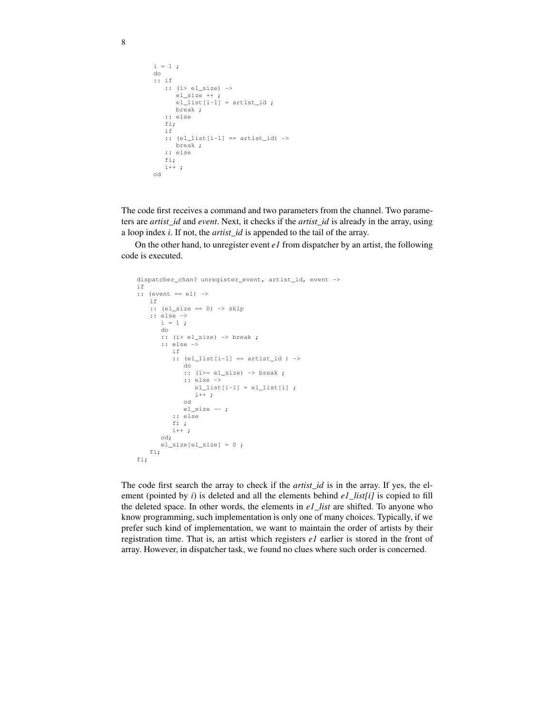```
i = 1;do
:: if
  :: (i> e1_size) ->
     e1_size ++ ;
     el\_list[i-1] = artist_id;break ;
  :: else
  fi;
  if
  :: (el_list[i-1] == artist_id) ->
    break ;
   :: else
  fi;
  i++;
od
```
The code first receives a command and two parameters from the channel. Two parameters are *artist\_id* and *event*. Next, it checks if the *artist\_id* is already in the array, using a loop index *i*. If not, the *artist\_id* is appended to the tail of the array.

On the other hand, to unregister event *e1* from dispatcher by an artist, the following code is executed.

```
dispatcher_chan? unregister_event, artist_id, event ->
if
:: (event == e1) ->
   if
   :: (e1_size == 0) -> skip
   :: else ->
      i = 1;do
      :: (i> e1_size) -> break ;
      :: else ->
         if
         :: (e1_list[i-1] == artist_id ) ->
            do
            :: (i>= e1_size) -> break ;
            :: else ->
              el\_list[i-1] = el\_list[i];
               i++ ;
            od
            e1_size -- ;
         :: else
         fi ;
         i++ ;
      od;
      e1_size[e1_size] = 0;
   fi;
fi;
```
The code first search the array to check if the *artist\_id* is in the array. If yes, the element (pointed by *i*) is deleted and all the elements behind *e1\_list[i]* is copied to fill the deleted space. In other words, the elements in *e1\_list* are shifted. To anyone who know programming, such implementation is only one of many choices. Typically, if we prefer such kind of implementation, we want to maintain the order of artists by their registration time. That is, an artist which registers *e1* earlier is stored in the front of array. However, in dispatcher task, we found no clues where such order is concerned.

8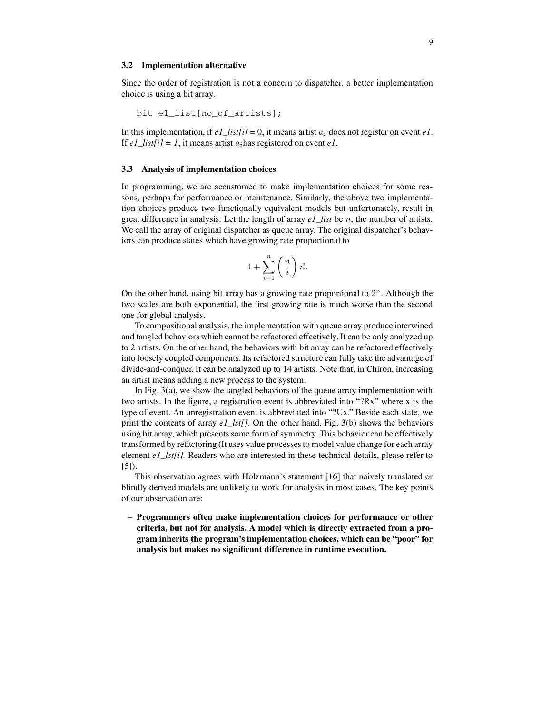#### **3.2 Implementation alternative**

Since the order of registration is not a concern to dispatcher, a better implementation choice is using a bit array.

bit e1\_list[no\_of\_artists];

In this implementation, if  $eI\_list[i] = 0$ , it means artist  $a_i$  does not register on event  $eI$ . If  $e1$ *\_list[i]* = 1, it means artist  $a_i$  has registered on event  $e1$ .

#### **3.3 Analysis of implementation choices**

In programming, we are accustomed to make implementation choices for some reasons, perhaps for performance or maintenance. Similarly, the above two implementation choices produce two functionally equivalent models but unfortunately, result in great difference in analysis. Let the length of array *e1\_list* be n, the number of artists. We call the array of original dispatcher as queue array. The original dispatcher's behaviors can produce states which have growing rate proportional to

$$
1 + \sum_{i=1}^{n} \binom{n}{i} i!
$$

On the other hand, using bit array has a growing rate proportional to  $2<sup>n</sup>$ . Although the two scales are both exponential, the first growing rate is much worse than the second one for global analysis.

To compositional analysis, the implementation with queue array produce interwined and tangled behaviors which cannot be refactored effectively. It can be only analyzed up to 2 artists. On the other hand, the behaviors with bit array can be refactored effectively into loosely coupled components. Its refactored structure can fully take the advantage of divide-and-conquer. It can be analyzed up to 14 artists. Note that, in Chiron, increasing an artist means adding a new process to the system.

In Fig. 3(a), we show the tangled behaviors of the queue array implementation with two artists. In the figure, a registration event is abbreviated into "?Rx" where x is the type of event. An unregistration event is abbreviated into "?Ux." Beside each state, we print the contents of array *e1\_lst[]*. On the other hand, Fig. 3(b) shows the behaviors using bit array, which presents some form of symmetry. This behavior can be effectively transformed by refactoring (It uses value processesto model value change for each array element *e1\_lst[i].* Readers who are interested in these technical details, please refer to [5]).

This observation agrees with Holzmann's statement [16] that naively translated or blindly derived models are unlikely to work for analysis in most cases. The key points of our observation are:

– **Programmers often make implementation choices for performance or other criteria, but not for analysis. A model which is directly extracted from a program inherits the program's implementation choices, which can be "poor" for analysis but makes no significant difference in runtime execution.**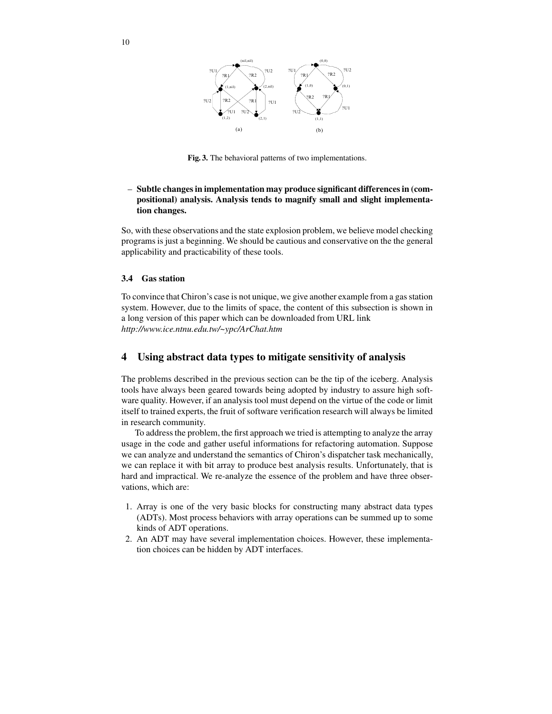

**Fig. 3.** The behavioral patterns of two implementations.

– **Subtle changesin implementation may produce significant differencesin (compositional) analysis. Analysis tends to magnify small and slight implementation changes.**

So, with these observations and the state explosion problem, we believe model checking programs is just a beginning. We should be cautious and conservative on the the general applicability and practicability of these tools.

#### **3.4 Gas station**

To convince that Chiron's case is not unique, we give another example from a gas station system. However, due to the limits of space, the content of this subsection is shown in a long version of this paper which can be downloaded from URL link *http://www.ice.ntnu.edu.tw/~ypc/ArChat.htm*

# **4 Using abstract data types to mitigate sensitivity of analysis**

The problems described in the previous section can be the tip of the iceberg. Analysis tools have always been geared towards being adopted by industry to assure high software quality. However, if an analysis tool must depend on the virtue of the code or limit itself to trained experts, the fruit of software verification research will always be limited in research community.

To address the problem, the first approach we tried is attempting to analyze the array usage in the code and gather useful informations for refactoring automation. Suppose we can analyze and understand the semantics of Chiron's dispatcher task mechanically, we can replace it with bit array to produce best analysis results. Unfortunately, that is hard and impractical. We re-analyze the essence of the problem and have three observations, which are:

- 1. Array is one of the very basic blocks for constructing many abstract data types (ADTs). Most process behaviors with array operations can be summed up to some kinds of ADT operations.
- 2. An ADT may have several implementation choices. However, these implementation choices can be hidden by ADT interfaces.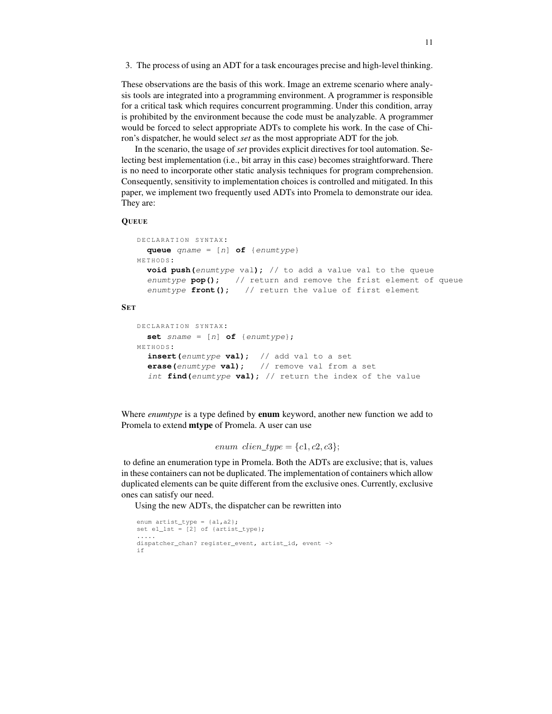3. The process of using an ADT for a task encourages precise and high-level thinking.

These observations are the basis of this work. Image an extreme scenario where analysis tools are integrated into a programming environment. A programmer is responsible for a critical task which requires concurrent programming. Under this condition, array is prohibited by the environment because the code must be analyzable. A programmer would be forced to select appropriate ADTs to complete his work. In the case of Chiron's dispatcher, he would select *set* as the most appropriate ADT for the job.

In the scenario, the usage of *set* provides explicit directives for tool automation. Selecting best implementation (i.e., bit array in this case) becomes straightforward. There is no need to incorporate other static analysis techniques for program comprehension. Consequently, sensitivity to implementation choices is controlled and mitigated. In this paper, we implement two frequently used ADTs into Promela to demonstrate our idea. They are:

#### **QUEUE**

```
DECLARATION SYNTAX:
  queue qname = [n] of {enumtype}
METHODS:
 void push(enumtype val); // to add a value val to the queue
  enumtype pop(); // return and remove the frist element of queue
  enumtype front(); // return the value of first element
```
## **SET**

```
DECLARATION SYNTAX:
  set sname = [n] of {enumtype};
METHODS:
  insert(enumtype val); // add val to a set
  erase(enumtype val); // remove val from a set
  int find(enumtype val); // return the index of the value
```
Where *enumtype* is a type defined by **enum** keyword, another new function we add to Promela to extend **mtype** of Promela. A user can use

enum  $client\_type = \{c1, c2, c3\};$ 

to define an enumeration type in Promela. Both the ADTs are exclusive; that is, values in these containers can not be duplicated. The implementation of containers which allow duplicated elements can be quite different from the exclusive ones. Currently, exclusive ones can satisfy our need.

Using the new ADTs, the dispatcher can be rewritten into

```
enum artist_type = {a1,a2};
set e1_lst = [2] of {artist_type};
.....
dispatcher_chan? register_event, artist_id, event ->
if
```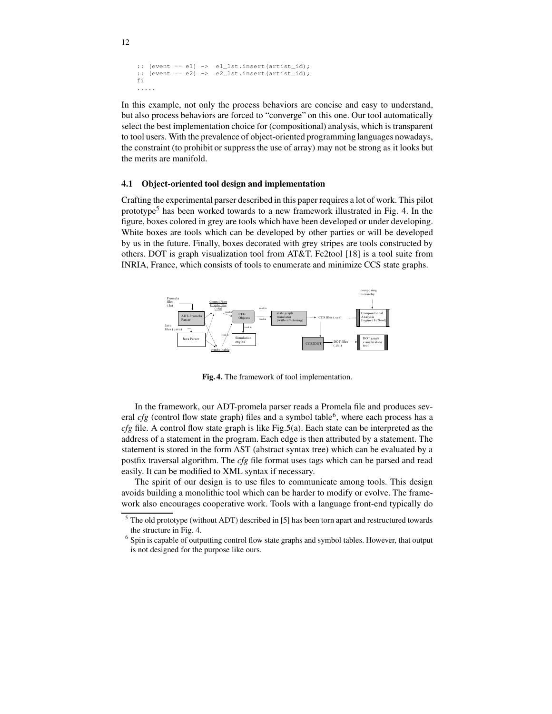```
:: (event == e1) -> e1_lst.insert(artist_id);
:: (event == e2) -> e2_lst.insert(artist_id);
fi
.....
```
In this example, not only the process behaviors are concise and easy to understand, but also process behaviors are forced to "converge" on this one. Our tool automatically select the best implementation choice for (compositional) analysis, which is transparent to tool users. With the prevalence of object-oriented programming languages nowadays, the constraint (to prohibit or suppress the use of array) may not be strong as it looks but the merits are manifold.

#### **4.1 Object-oriented tool design and implementation**

Crafting the experimental parser described in this paper requires a lot of work. This pilot prototype<sup>5</sup> has been worked towards to a new framework illustrated in Fig. 4. In the figure, boxes colored in grey are tools which have been developed or under developing. White boxes are tools which can be developed by other parties or will be developed by us in the future. Finally, boxes decorated with grey stripes are tools constructed by others. DOT is graph visualization tool from AT&T. Fc2tool [18] is a tool suite from INRIA, France, which consists of tools to enumerate and minimize CCS state graphs.



**Fig. 4.** The framework of tool implementation.

In the framework, our ADT-promela parser reads a Promela file and produces several *cfg* (control flow state graph) files and a symbol table<sup>6</sup>, where each process has a *cfg* file. A control flow state graph is like Fig.5(a). Each state can be interpreted as the address of a statement in the program. Each edge is then attributed by a statement. The statement is stored in the form AST (abstract syntax tree) which can be evaluated by a postfix traversal algorithm. The *cfg* file format uses tags which can be parsed and read easily. It can be modified to XML syntax if necessary.

The spirit of our design is to use files to communicate among tools. This design avoids building a monolithic tool which can be harder to modify or evolve. The framework also encourages cooperative work. Tools with a language front-end typically do

12

<sup>&</sup>lt;sup>5</sup> The old prototype (without ADT) described in [5] has been torn apart and restructured towards the structure in Fig. 4.

<sup>&</sup>lt;sup>6</sup> Spin is capable of outputting control flow state graphs and symbol tables. However, that output is not designed for the purpose like ours.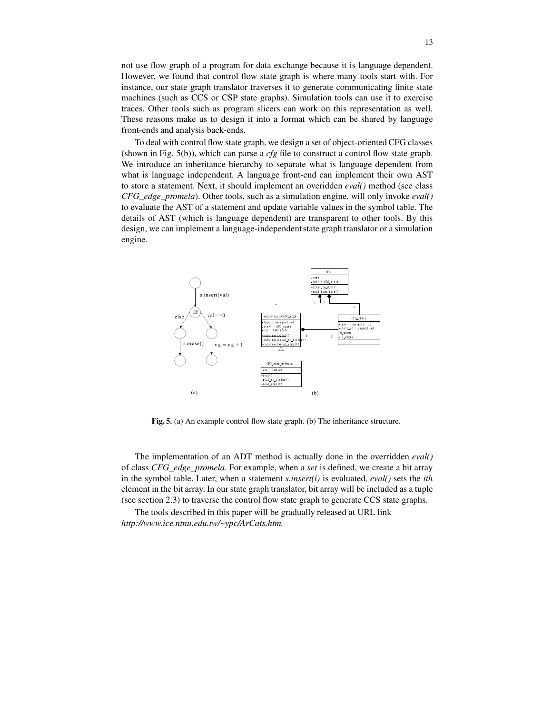not use flow graph of a program for data exchange because it is language dependent. However, we found that control flow state graph is where many tools start with. For instance, our state graph translator traverses it to generate communicating finite state machines (such as CCS or CSP state graphs). Simulation tools can use it to exercise traces. Other tools such as program slicers can work on this representation as well. These reasons make us to design it into a format which can be shared by language front-ends and analysis back-ends.

To deal with control flow state graph, we design a set of object-oriented CFG classes (shown in Fig. 5(b)), which can parse a *cfg* file to construct a control flow state graph. We introduce an inheritance hierarchy to separate what is language dependent from what is language independent. A language front-end can implement their own AST to store a statement. Next, it should implement an overidden *eval()* method (see class *CFG\_edge\_promela*). Other tools, such as a simulation engine, will only invoke *eval()* to evaluate the AST of a statement and update variable values in the symbol table. The details of AST (which is language dependent) are transparent to other tools. By this design, we can implement a language-independentstate graph translator or a simulation engine.



**Fig. 5.** (a) An example control flow state graph. (b) The inheritance structure.

The implementation of an ADT method is actually done in the overridden *eval()* of class *CFG\_edge\_promela*. For example, when a *set* is defined, we create a bit array in the symbol table. Later, when a statement *s.insert(i)* is evaluated*, eval()* sets the *ith* element in the bit array. In our state graph translator, bit array will be included as a tuple (see section 2.3) to traverse the control flow state graph to generate CCS state graphs.

The tools described in this paper will be gradually released at URL link *http://www.ice.ntnu.edu.tw/~ypc/ArCats.htm.*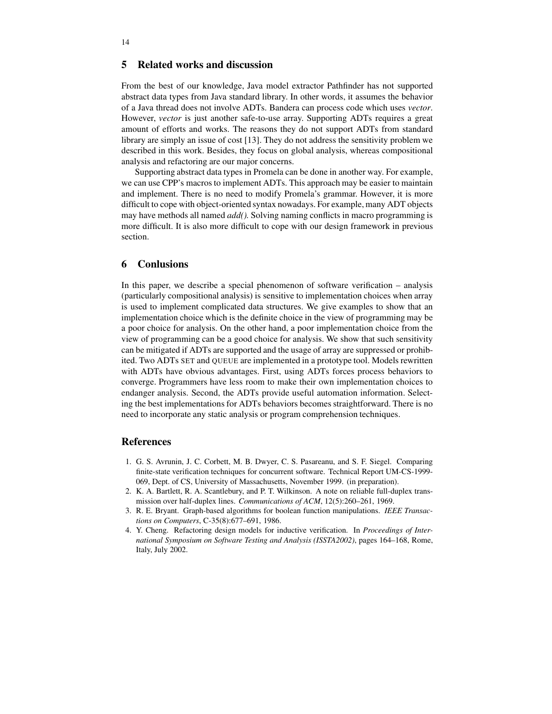# **5 Related works and discussion**

From the best of our knowledge, Java model extractor Pathfinder has not supported abstract data types from Java standard library. In other words, it assumes the behavior of a Java thread does not involve ADTs. Bandera can process code which uses *vector*. However, *vector* is just another safe-to-use array. Supporting ADTs requires a great amount of efforts and works. The reasons they do not support ADTs from standard library are simply an issue of cost [13]. They do not address the sensitivity problem we described in this work. Besides, they focus on global analysis, whereas compositional analysis and refactoring are our major concerns.

Supporting abstract data types in Promela can be done in another way. For example, we can use CPP's macros to implement ADTs. This approach may be easier to maintain and implement. There is no need to modify Promela's grammar. However, it is more difficult to cope with object-oriented syntax nowadays. For example, many ADT objects may have methods all named *add().* Solving naming conflicts in macro programming is more difficult. It is also more difficult to cope with our design framework in previous section.

## **6 Conlusions**

In this paper, we describe a special phenomenon of software verification – analysis (particularly compositional analysis) is sensitive to implementation choices when array is used to implement complicated data structures. We give examples to show that an implementation choice which is the definite choice in the view of programming may be a poor choice for analysis. On the other hand, a poor implementation choice from the view of programming can be a good choice for analysis. We show that such sensitivity can be mitigated if ADTs are supported and the usage of array are suppressed or prohibited. Two ADTs SET and QUEUE are implemented in a prototype tool. Models rewritten with ADTs have obvious advantages. First, using ADTs forces process behaviors to converge. Programmers have less room to make their own implementation choices to endanger analysis. Second, the ADTs provide useful automation information. Selecting the best implementations for ADTs behaviors becomes straightforward. There is no need to incorporate any static analysis or program comprehension techniques.

## **References**

- 1. G. S. Avrunin, J. C. Corbett, M. B. Dwyer, C. S. Pasareanu, and S. F. Siegel. Comparing finite-state verification techniques for concurrent software. Technical Report UM-CS-1999- 069, Dept. of CS, University of Massachusetts, November 1999. (in preparation).
- 2. K. A. Bartlett, R. A. Scantlebury, and P. T. Wilkinson. A note on reliable full-duplex transmission over half-duplex lines. *Communications of ACM*, 12(5):260–261, 1969.
- 3. R. E. Bryant. Graph-based algorithms for boolean function manipulations. *IEEE Transactions on Computers*, C-35(8):677–691, 1986.
- 4. Y. Cheng. Refactoring design models for inductive verification. In *Proceedings of International Symposium on Software Testing and Analysis (ISSTA2002)*, pages 164–168, Rome, Italy, July 2002.